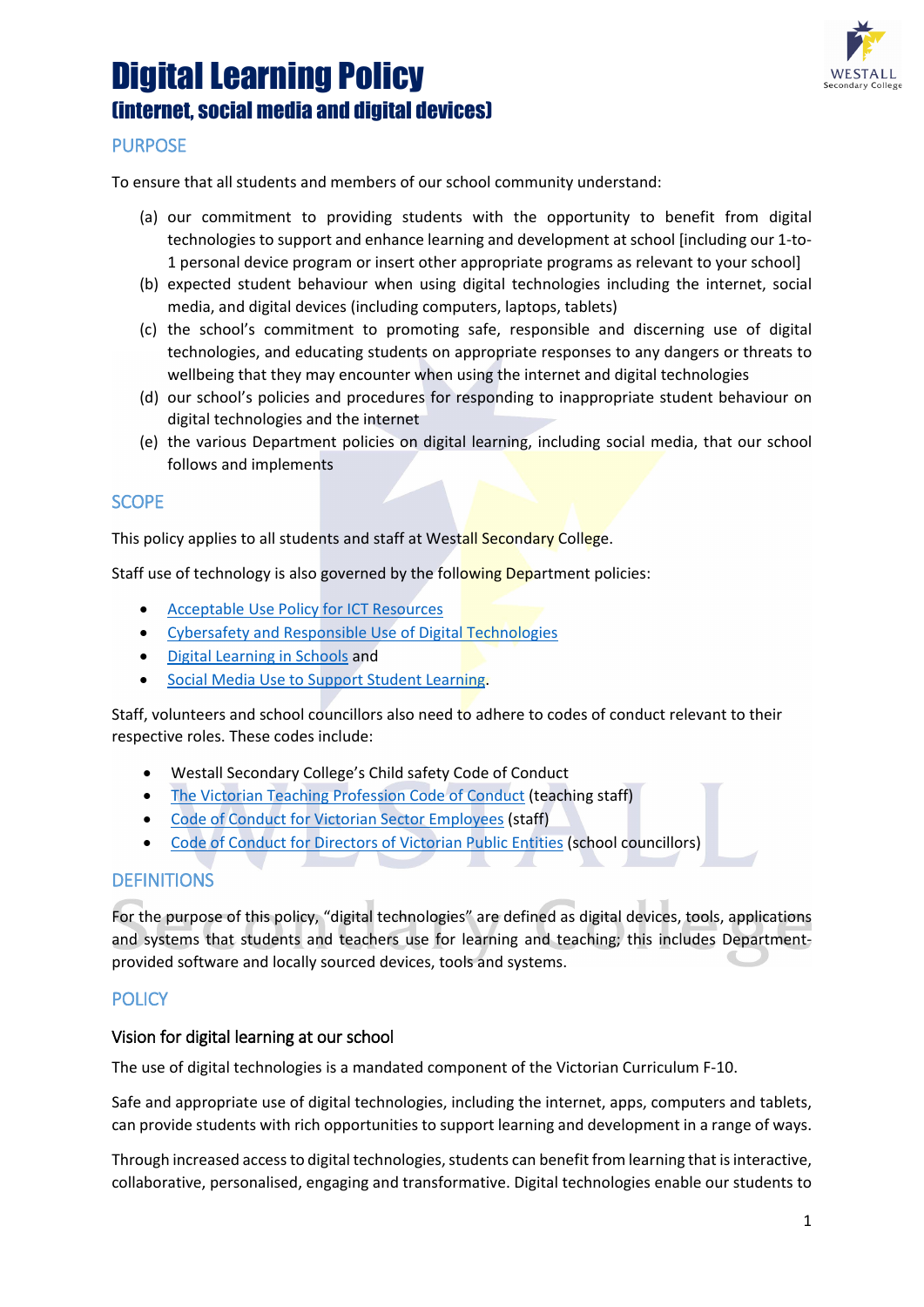# Digital Learning Policy (internet, social media and digital devices)



# **PURPOSE**

To ensure that all students and members of our school community understand:

- (a) our commitment to providing students with the opportunity to benefit from digital technologies to support and enhance learning and development at school [including our 1-to-1 personal device program or insert other appropriate programs as relevant to your school]
- (b) expected student behaviour when using digital technologies including the internet, social media, and digital devices (including computers, laptops, tablets)
- (c) the school's commitment to promoting safe, responsible and discerning use of digital technologies, and educating students on appropriate responses to any dangers or threats to wellbeing that they may encounter when using the internet and digital technologies
- (d) our school's policies and procedures for responding to inappropriate student behaviour on digital technologies and the internet
- (e) the various Department policies on digital learning, including social media, that our school follows and implements

#### **SCOPE**

This policy applies to all students and staff at Westall Secondary College.

Staff use of technology is also governed by the following Department policies:

- [Acceptable Use Policy](https://www2.education.vic.gov.au/pal/ict-acceptable-use/overview) for ICT Resources
- [Cybersafety and Responsible Use of Digital Technologies](https://www2.education.vic.gov.au/pal/cybersafety/policy)
- [Digital Learning in Schools](https://www2.education.vic.gov.au/pal/digital-learning/policy) and
- [Social Media Use to Support Student Learning.](https://www2.education.vic.gov.au/pal/social-media/policy)

Staff, volunteers and school councillors also need to adhere to codes of conduct relevant to their respective roles. These codes include:

- Westall Secondary College's Child safety Code of Conduct
- [The Victorian Teaching Profession Code of Conduct](https://www.vit.vic.edu.au/__data/assets/pdf_file/0018/35604/Code-of-Conduct-2016.pdf) (teaching staff)
- [Code of Conduct for Victorian Sector Employees](https://www2.education.vic.gov.au/pal/code-conduct/overview) (staff)
- [Code of Conduct for Directors of Victorian Public Entities](https://www2.education.vic.gov.au/pal/school-council-conduct/policy) (school councillors)

## **DEFINITIONS**

For the purpose of this policy, "digital technologies" are defined as digital devices, tools, applications and systems that students and teachers use for learning and teaching; this includes Departmentprovided software and locally sourced devices, tools and systems.

## **POLICY**

#### Vision for digital learning at our school

The use of digital technologies is a mandated component of the Victorian Curriculum F-10.

Safe and appropriate use of digital technologies, including the internet, apps, computers and tablets, can provide students with rich opportunities to support learning and development in a range of ways.

Through increased access to digital technologies, students can benefit from learning that is interactive, collaborative, personalised, engaging and transformative. Digital technologies enable our students to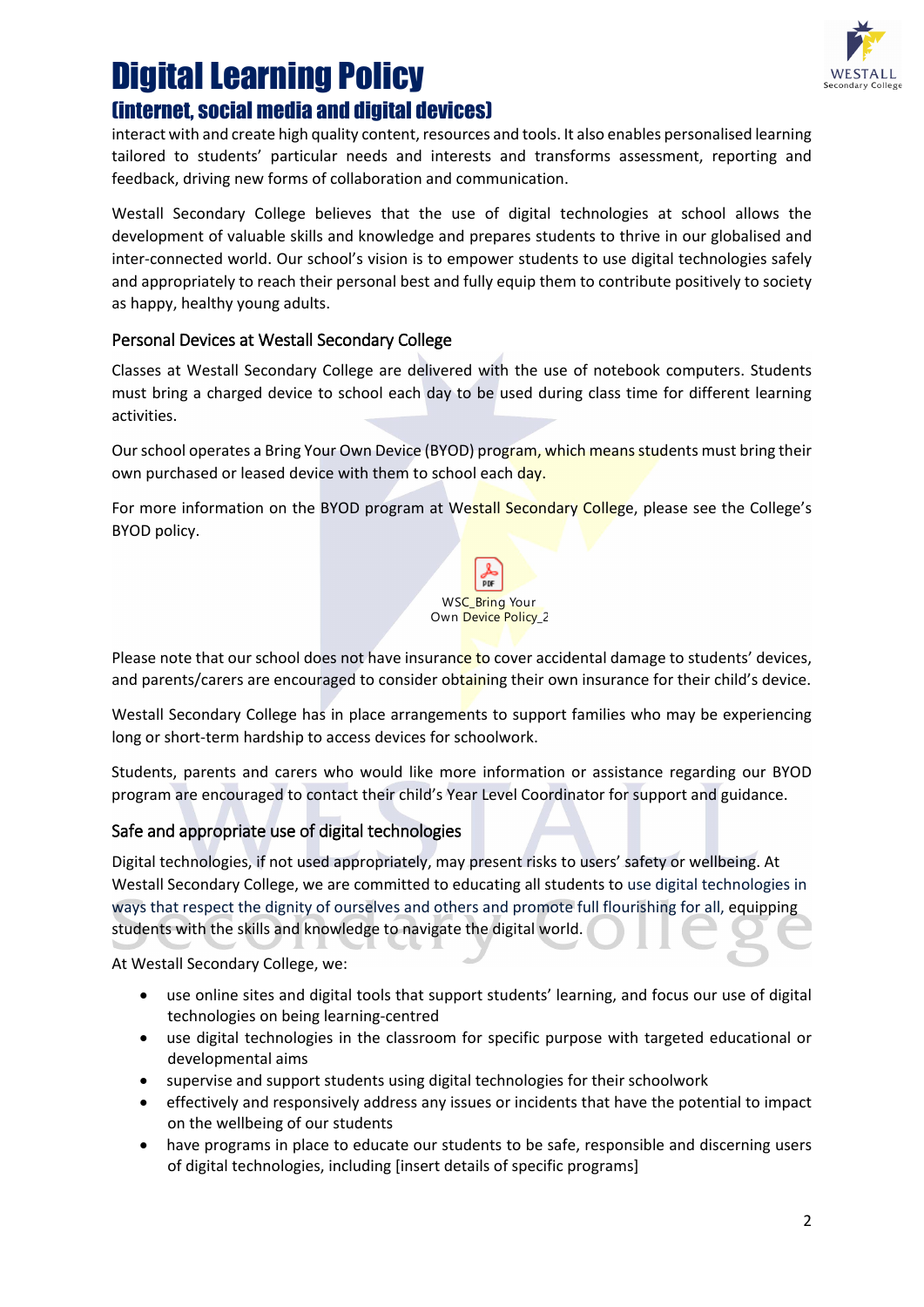

# Digital Learning Policy (internet, social media and digital devices)

interact with and create high quality content, resources and tools. It also enables personalised learning tailored to students' particular needs and interests and transforms assessment, reporting and feedback, driving new forms of collaboration and communication.

Westall Secondary College believes that the use of digital technologies at school allows the development of valuable skills and knowledge and prepares students to thrive in our globalised and inter-connected world. Our school's vision is to empower students to use digital technologies safely and appropriately to reach their personal best and fully equip them to contribute positively to society as happy, healthy young adults.

# Personal Devices at Westall Secondary College

Classes at Westall Secondary College are delivered with the use of notebook computers. Students must bring a charged device to school each day to be used during class time for different learning activities.

Our school operates a Bring Your Own Device (BYOD) program, which means students must bring their own purchased or leased device with them to school each day.

For more information on the BYOD program at Westall Secondary College, please see the College's BYOD policy.



Please note that our school does not have insurance to cover accidental damage to students' devices, and parents/carers are encouraged to consider obtaining their own insurance for their child's device.

Westall Secondary College has in place arrangements to support families who may be experiencing long or short-term hardship to access devices for schoolwork.

Students, parents and carers who would like more information or assistance regarding our BYOD program are encouraged to contact their child's Year Level Coordinator for support and guidance.

# Safe and appropriate use of digital technologies

Digital technologies, if not used appropriately, may present risks to users' safety or wellbeing. At Westall Secondary College, we are committed to educating all students to use digital technologies in ways that respect the dignity of ourselves and others and promote full flourishing for all, equipping students with the skills and knowledge to navigate the digital world.

At Westall Secondary College, we:

- use online sites and digital tools that support students' learning, and focus our use of digital technologies on being learning-centred
- use digital technologies in the classroom for specific purpose with targeted educational or developmental aims
- supervise and support students using digital technologies for their schoolwork
- effectively and responsively address any issues or incidents that have the potential to impact on the wellbeing of our students
- have programs in place to educate our students to be safe, responsible and discerning users of digital technologies, including [insert details of specific programs]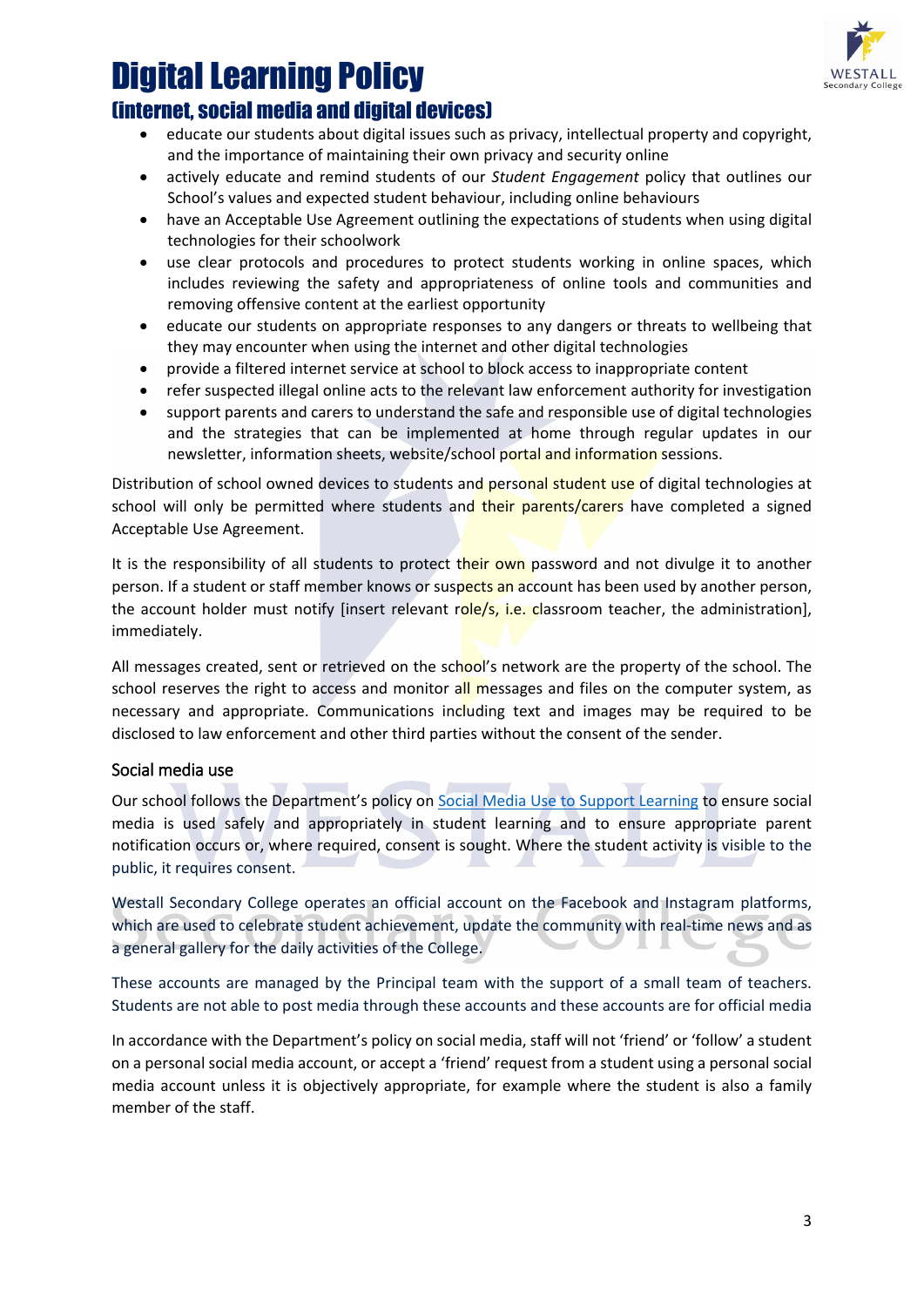

# Digital Learning Policy

# (internet, social media and digital devices)

- educate our students about digital issues such as privacy, intellectual property and copyright, and the importance of maintaining their own privacy and security online
- actively educate and remind students of our *Student Engagement* policy that outlines our School's values and expected student behaviour, including online behaviours
- have an Acceptable Use Agreement outlining the expectations of students when using digital technologies for their schoolwork
- use clear protocols and procedures to protect students working in online spaces, which includes reviewing the safety and appropriateness of online tools and communities and removing offensive content at the earliest opportunity
- educate our students on appropriate responses to any dangers or threats to wellbeing that they may encounter when using the internet and other digital technologies
- provide a filtered internet service at school to block access to inappropriate content
- refer suspected illegal online acts to the relevant law enforcement authority for investigation
- support parents and carers to understand the safe and responsible use of digital technologies and the strategies that can be implemented at home through regular updates in our newsletter, information sheets, website/school portal and information sessions.

Distribution of school owned devices to students and personal student use of digital technologies at school will only be permitted where students and their parents/carers have completed a signed Acceptable Use Agreement.

It is the responsibility of all students to protect their own password and not divulge it to another person. If a student or staff member knows or suspects an account has been used by another person, the account holder must notify [insert relevant role/s, i.e. classroom teacher, the administration], immediately.

All messages created, sent or retrieved on the school's network are the property of the school. The school reserves the right to access and monitor all messages and files on the computer system, as necessary and appropriate. Communications including text and images may be required to be disclosed to law enforcement and other third parties without the consent of the sender.

## Social media use

Our school follows the Department's policy on [Social Media Use to Support Learning](https://www2.education.vic.gov.au/pal/social-media/policy) to ensure social media is used safely and appropriately in student learning and to ensure appropriate parent notification occurs or, where required, consent is sought. Where the student activity is visible to the public, it requires consent.

Westall Secondary College operates an official account on the Facebook and Instagram platforms, which are used to celebrate student achievement, update the community with real-time news and as a general gallery for the daily activities of the College.

These accounts are managed by the Principal team with the support of a small team of teachers. Students are not able to post media through these accounts and these accounts are for official media

In accordance with the Department's policy on social media, staff will not 'friend' or 'follow' a student on a personal social media account, or accept a 'friend' request from a student using a personal social media account unless it is objectively appropriate, for example where the student is also a family member of the staff.